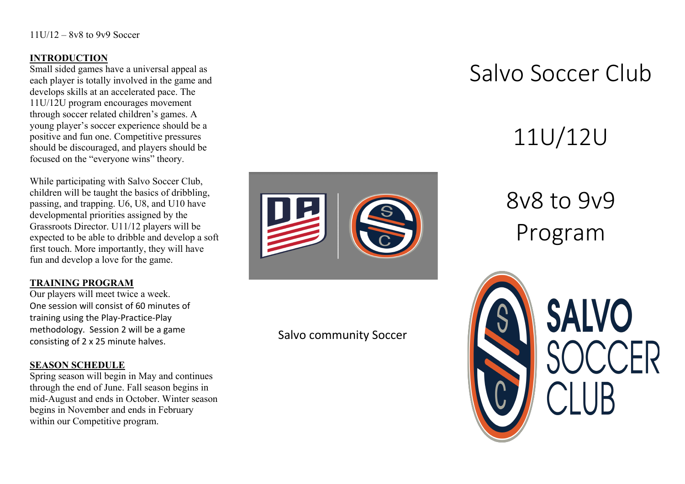#### **INTRODUCTION**

Small sided games have a universal appeal as each player is totally involved in the game and develops skills at an accelerated pace. The 11U/12U program encourages movement through soccer related children's games. A young player's soccer experience should be a positive and fun one. Competitive pressures should be discouraged, and players should be focused on the "everyone wins" theory.

While participating with Salvo Soccer Club, children will be taught the basics of dribbling, passing, and trapping. U6, U8, and U10 have developmental priorities assigned by the Grassroots Director. U11/12 players will be expected to be able to dribble and develop a soft first touch. More importantly, they will have fun and develop a love for the game.

#### **TRAINING PROGRAM**

Our players will meet twice a week. One session will consist of 60 minutes of training using the Play-Practice-Play methodology. Session 2 will be a game consisting of 2 x 25 minute halves.

#### **SEASON SCHEDULE**

Spring season will begin in May and continues through the end of June. Fall season begins in mid-August and ends in October. Winter season begins in November and ends in February within our Competitive program.



# Salvo community Soccer

# Salvo Soccer Club

# 11U/12U

# 8v8 to 9v9 Program



**SALVO**